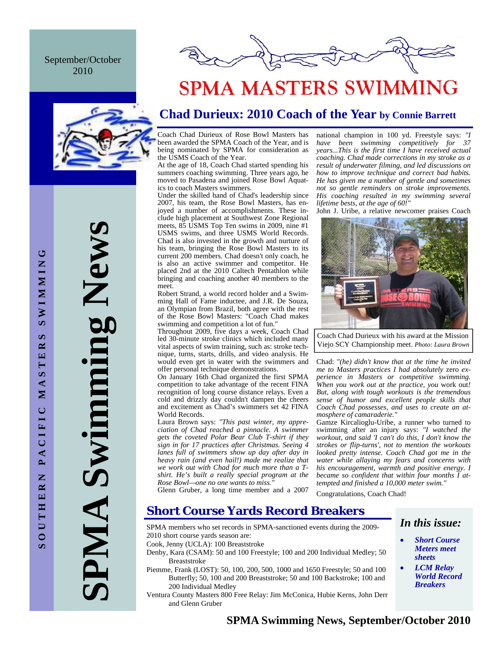September/October 2010



**SPMA Swimming News**  Swimming New PMA



# **SPMA MASTERS SWIMMING**

## **Chad Durieux: 2010 Coach of the Year by Connie Barrett**

Coach Chad Durieux of Rose Bowl Masters has been awarded the SPMA Coach of the Year, and is being nominated by SPMA for consideration as the USMS Coach of the Year.

At the age of 18, Coach Chad started spending his summers coaching swimming. Three years ago, he moved to Pasadena and joined Rose Bowl Aquatics to coach Masters swimmers.

Under the skilled hand of Chad's leadership since 2007, his team, the Rose Bowl Masters, has enjoyed a number of accomplishments. These include high placement at Southwest Zone Regional meets, 85 USMS Top Ten swims in 2009, nine #1 USMS swims, and three USMS World Records. Chad is also invested in the growth and nurture of his team, bringing the Rose Bowl Masters to its current 200 members. Chad doesn't only coach, he is also an active swimmer and competitor. He placed 2nd at the 2010 Caltech Pentathlon while bringing and coaching another 40 members to the meet.

Robert Strand, a world record holder and a Swimming Hall of Fame inductee, and J.R. De Souza, an Olympian from Brazil, both agree with the rest of the Rose Bowl Masters: "Coach Chad makes swimming and competition a lot of fun."

Throughout 2009, five days a week, Coach Chad led 30-minute stroke clinics which included many vital aspects of swim training, such as: stroke technique, turns, starts, drills, and video analysis. He would even get in water with the swimmers and offer personal technique demonstrations.

On January 16th Chad organized the first SPMA competition to take advantage of the recent FINA recognition of long course distance relays. Even a cold and drizzly day couldn't dampen the cheers and excitement as Chad's swimmers set 42 FINA World Records.

Laura Brown says: *"This past winter, my appreciation of Chad reached a pinnacle. A swimmer gets the coveted Polar Bear Club T-shirt if they sign in for 17 practices after Christmas. Seeing 4 lanes full of swimmers show up day after day in heavy rain (and even hail!) made me realize that we work out with Chad for much more than a Tshirt. He's built a really special program at the Rose Bowl—one no one wants to miss."* 

national champion in 100 yd. Freestyle says: *"I have been swimming competitively for 37 years...This is the first time I have received actual coaching. Chad made corrections in my stroke as a result of underwater filming, and led discussions on how to improve technique and correct bad habits. He has given me a number of gentle and sometimes not so gentle reminders on stroke improvements. His coaching resulted in my swimming several lifetime bests, at the age of 60!"* 

John J. Uribe, a relative newcomer praises Coach



Coach Chad Durieux with his award at the Mission Viejo SCY Championship meet. *Photo: Laura Brown* 

Chad: *"(he) didn't know that at the time he invited me to Masters practices I had absolutely* zero *experience in Masters or competitive swimming. When you work out at the practice, you* work out*! But, along with tough workouts is the tremendous sense of humor and excellent people skills that Coach Chad possesses, and uses to create an atmosphere of camaraderie."* 

Gamze Kircalioglu-Uribe, a runner who turned to swimming after an injury says: *"I watched the workout, and said 'I can't do this, I don't know the strokes or flip-turns', not to mention the workouts looked pretty intense. Coach Chad got me in the water while allaying my fears and concerns with his encouragement, warmth and positive energy. I became so confident that within four months I attempted and finished a 10,000 meter swim."* 

Glenn Gruber, a long time member and a 2007

Congratulations, Coach Chad!

## **Short Course Yards Record Breakers**

SPMA members who set records in SPMA-sanctioned events during the 2009- 2010 short course yards season are:

Cook, Jenny (UCLA): 100 Breaststroke

- Denby, Kara (CSAM): 50 and 100 Freestyle; 100 and 200 Individual Medley; 50 Breaststroke
- Piemme, Frank (LOST): 50, 100, 200, 500, 1000 and 1650 Freestyle; 50 and 100 Butterfly; 50, 100 and 200 Breaststroke; 50 and 100 Backstroke; 100 and 200 Individual Medley
- Ventura County Masters 800 Free Relay: Jim McConica, Hubie Kerns, John Derr and Glenn Gruber

## *In this issue:*

- *Short Course Meters meet sheets*
- *LCM Relay World Record Breakers*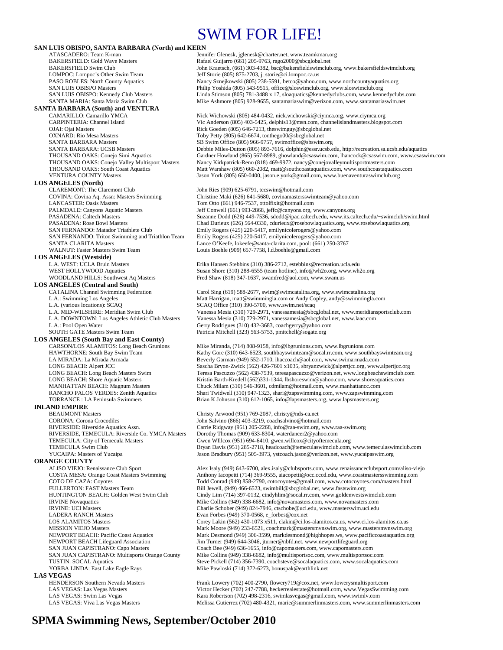## SWIM FOR LIFE!

| SAN LUIS OBISPO, SANTA BARBARA (North) and KERN                                         |                                                                                                                                                                         |
|-----------------------------------------------------------------------------------------|-------------------------------------------------------------------------------------------------------------------------------------------------------------------------|
| ATASCADERO: Team K-man                                                                  | Jennifer Glenesk, jglenesk@charter.net, www.teamkman.org                                                                                                                |
| <b>BAKERSFIELD: Gold Wave Masters</b>                                                   | Rafael Guijarro (661) 205-9763, rago2000@sbcglobal.net                                                                                                                  |
| <b>BAKERSFIELD Swim Club</b>                                                            | John Kraetsch, (661) 303-4382, bsc@bakersfieldswimclub.org, www.bakersfieldswimclub.org                                                                                 |
| LOMPOC: Lompoc's Other Swim Team                                                        | Jeff Storie (805) 875-2703, j_storie@ci.lompoc.ca.us                                                                                                                    |
| <b>PASO ROBLES:</b> North County Aquatics<br><b>SAN LUIS OBISPO Masters</b>             | Nancy Sznejkowski (805) 238-5591, betco@yahoo.com, www.northcountyaquatics.org<br>Philip Yoshida (805) 543-9515, office@sloswimclub.org, www.sloswimclub.org            |
| SAN LUIS OBISPO: Kennedy Club Masters                                                   | Linda Stimson (805) 781-3488 x 17, sloaquatics@kennedyclubs.com, www.kennedyclubs.com                                                                                   |
| SANTA MARIA: Santa Maria Swim Club                                                      | Mike Ashmore (805) 928-9655, santamariaswim@verizon.com, www.santamariaswim.net                                                                                         |
| <b>SANTA BARBARA (South) and VENTURA</b>                                                |                                                                                                                                                                         |
| CAMARILLO: Camarillo YMCA                                                               | Nick Wichowski (805) 484-0432, nick wichowski @ciymca.org, www.ciymca.org                                                                                               |
| <b>CARPINTERIA: Channel Island</b>                                                      | Vic Anderson (805) 403-5425, delphis 13@msn.com, channelisland masters.blogspot.com                                                                                     |
| OJAI: Ojai Masters                                                                      | Rick Goeden (805) 646-7213, the swimp uy @sbcglobal.net                                                                                                                 |
| <b>OXNARD: Rio Mesa Masters</b>                                                         | Toby Petty (805) 642-6674, tonthego00@sbcglobal.net                                                                                                                     |
| <b>SANTA BARBARA Masters</b>                                                            | SB Swim Office (805) 966-9757, swimoffice@sbswim.org                                                                                                                    |
| <b>SANTA BARBARA: UCSB Masters</b>                                                      | Debbie Miles-Dutton (805) 893-7616, dolphin@essr.ucsb.edu, http://recreation.sa.ucsb.edu/aquatics                                                                       |
| THOUSAND OAKS: Conejo Simi Aquatics                                                     | Gardner Howland (865) 567-8989, ghowland@csaswim.com, lhancock@csaswim.com, www.csaswim.com                                                                             |
| THOUSAND OAKS: Conejo Valley Multisport Masters                                         | Nancy Kirkpatrick-Reno (818) 469-9972, nancy@conejovalleymultisportmasters.com                                                                                          |
| THOUSAND OAKS: South Coast Aquatics<br><b>VENTURA COUNTY Masters</b>                    | Matt Warshaw (805) 660-2082, matt@southcoastaquatics.com, www.southcoastaquatics.com<br>Jason York (805) 650-0400, jason.e.york@gmail.com, www.buenaventuraswimclub.org |
| <b>LOS ANGELES (North)</b>                                                              |                                                                                                                                                                         |
| <b>CLAREMONT: The Claremont Club</b>                                                    | John Ries (909) 625-6791, tccswim@hotmail.com                                                                                                                           |
| COVINA: Covina Aq. Assn: Masters Swimming                                               | Christine Maki (626) 641-5680, covinamastersswimteam@yahoo.com                                                                                                          |
| <b>LANCASTER: Oasis Masters</b>                                                         | Tom Otto (661) 946-7537, ottolfixit@hotmail.com                                                                                                                         |
| PALMDALE: Canyons Aquatic Masters                                                       | Jeff Conwell (661) 993-2868, jeffc@canyons.org, www.canyons.org                                                                                                         |
| <b>PASADENA: Caltech Masters</b>                                                        | Suzanne Dodd (626) 449-7536, sdodd@ipac.caltech.edu, www.its.caltech.edu/~swimclub/swim.html                                                                            |
| PASADENA: Rose Bowl Masters                                                             | Chad Durieux (626) 564-0330, cdurieux@rosebowlaquatics.org, www.rosebowlaquatics.org                                                                                    |
| SAN FERNANDO: Matador Triathlete Club                                                   | Emily Rogers (425) 220-5417, emilynicolerogers@yahoo.com                                                                                                                |
| SAN FERNANDO: Triton Swimming and Triathlon Team                                        | Emily Rogers (425) 220-5417, emilynicolerogers@yahoo.com                                                                                                                |
| <b>SANTA CLARITA Masters</b>                                                            | Lance O'Keefe, lokeefe@santa-clarita.com, pool: (661) 250-3767                                                                                                          |
| WALNUT: Faster Masters Swim Team                                                        | Louis Boehle (909) 657-7758, 1.d.boehle@gmail.com                                                                                                                       |
| <b>LOS ANGELES (Westside)</b><br>L.A. WEST: UCLA Bruin Masters                          |                                                                                                                                                                         |
| WEST HOLLYWOOD Aquatics                                                                 | Erika Hansen Stebbins (310) 386-2712, estebbins@recreation.ucla.edu<br>Susan Shore (310) 288-6555 (team hotline), info@wh2o.org, www.wh2o.org                           |
| WOODLAND HILLS: Southwest Aq Masters                                                    | Fred Shaw (818) 347-1637, swamfred@aol.com, www.swam.us                                                                                                                 |
| <b>LOS ANGELES</b> (Central and South)                                                  |                                                                                                                                                                         |
| <b>CATALINA Channel Swimming Federation</b>                                             | Carol Sing (619) 588-2677, swim@swimcatalina.org, www.swimcatalina.org                                                                                                  |
| L.A.: Swimming Los Angeles                                                              | Matt Harrigan, matt@swimmingla.com or Andy Copley, andy@swimmingla.com                                                                                                  |
| L.A. (various locations): SCAQ                                                          | SCAQ Office (310) 390-5700, www.swim.net/scaq                                                                                                                           |
| L.A. MID-WILSHIRE: Meridian Swim Club                                                   | Vanessa Mesia (310) 729-2971, vanessamesia@sbcglobal.net, www.meridiansportsclub.com                                                                                    |
| L.A. DOWNTOWN: Los Angeles Athletic Club Masters                                        | Vanessa Mesia (310) 729-2971, vanessamesia@sbcglobal.net, www.laac.com                                                                                                  |
| L.A.: Pool Open Water                                                                   | Gerry Rodrigues (310) 432-3683, coachgerry@yahoo.com                                                                                                                    |
| SOUTH GATE Masters Swim Team                                                            | Patricia Mitchell (323) 563-5753, pmitchell@sogate.org                                                                                                                  |
| <b>LOS ANGELES (South Bay and East County)</b>                                          |                                                                                                                                                                         |
| CARSON/LOS ALAMITOS: Long Beach Grunions                                                | Mike Miranda, (714) 808-9158, info@lbgrunions.com, www.lbgrunions.com                                                                                                   |
| HAWTHORNE: South Bay Swim Team                                                          | Kathy Gore (310) 643-6523, southbayswimteam@socal.rr.com, www.southbayswimteam.org                                                                                      |
| LA MIRADA: La Mirada Armada<br>LONG BEACH: Alpert JCC                                   | Beverly Garman (949) 552-1710, ihaccoach@aol.com, www.swimarmada.com<br>Sascha Bryon-Zwick (562) 426-7601 x1035, sbryanzwick@alpertjcc.org, www.alpertjcc.org           |
| LONG BEACH: Long Beach Masters Swim                                                     | Teresa Pascuzzo (562) 438-7539, teresapascuzzo@verizon.net, www.longbeachswimclub.com                                                                                   |
| LONG BEACH: Shore Aquatic Masters                                                       | Kristin Barth-Kredell (562)331-1344, lbshoreswim@yahoo.com, www.shoreaquatics.com                                                                                       |
| MANHATTAN BEACH: Magnum Masters                                                         | Chuck Milam (310) 546-3601, cdmilam@hotmail.com, www.manhattancc.com                                                                                                    |
| RANCHO PALOS VERDES: Zenith Aquatics                                                    | Shari Twidwell (310) 947-1323, shari@zapswimming.com, www.zapswimming.com                                                                                               |
| TORRANCE : LA Peninsula Swimmers                                                        | Brian K Johnson (310) 612-1065, info@lapsmasters.org, www.lapsmasters.org                                                                                               |
| <b>INLAND EMPIRE</b>                                                                    |                                                                                                                                                                         |
| <b>BEAUMONT Masters</b>                                                                 | Christy Arwood (951) 769-2087, christy@nds-ca.net                                                                                                                       |
| <b>CORONA: Corona Crocodiles</b>                                                        | John Salvino (866) 403-3219, coachsalvino@hotmail.com                                                                                                                   |
| RIVERSIDE: Riverside Aquatics Assn.                                                     | Carrie Ridgway (951) 205-2268, info@raa-swim.org, www.raa-swim.org                                                                                                      |
| RIVERSIDE, TEMECULA: Riverside Co. YMCA Masters                                         | Dorothy Thomas (909) 633-8304, waterdancer2@yahoo.com                                                                                                                   |
| TEMECULA: City of Temecula Masters                                                      | Gwen WIllcox (951) 694-6410, gwen.willcox@cityoftemecula.org                                                                                                            |
| <b>TEMECULA Swim Club</b>                                                               | Bryan Davis (951) 285-2718, headcoach@temeculaswimclub.com, www.temeculaswimclub.com                                                                                    |
| YUCAIPA: Masters of Yucaipa                                                             | Jason Bradbury (951) 505-3973, ystcoach.jason@verizon.net, www.yucaipaswim.org                                                                                          |
| <b>ORANGE COUNTY</b>                                                                    | Alex Isaly (949) 643-6700, alex.isaly@clubsports.com, www.renaissanceclubsport.com/aliso-viejo                                                                          |
| ALISO VIEJO: Renaissance Club Sport<br><b>COSTA MESA: Orange Coast Masters Swimming</b> | Anthony Iacopetti (714) 369-9555, aiacopetti@occ.cccd.edu, www.coastmastersswimming.com                                                                                 |
| COTO DE CAZA: Coyotes                                                                   | Todd Conrad (949) 858-2790, cotocoyotes@gmail.com, www.cotocoyotes.com/masters.html                                                                                     |
| FULLERTON: FAST Masters Team                                                            | Bill Jewell, (949) 466-6523, swimbill@sbcglobal.net, www.fastswim.org                                                                                                   |
| HUNTINGTON BEACH: Golden West Swim Club                                                 | Cindy Lim (714) 397-0132, cindyhlim@socal.rr.com, www.goldenwestswimclub.com                                                                                            |
| <b>IRVINE</b> Novaquatics                                                               | Mike Collins (949) 338-6682, info@novamasters.com, www.novamasters.com                                                                                                  |
| <b>IRVINE: UCI Masters</b>                                                              | Charlie Schober (949) 824-7946, ctschobe@uci.edu, www.masterswim.uci.edu                                                                                                |
| <b>LADERA RANCH Masters</b>                                                             | Evan Forbes (949) 370-0568, e_forbes@cox.net                                                                                                                            |
| <b>LOS ALAMITOS Masters</b>                                                             | Corey Lakin (562) 430-1073 x511, clakin@ci.los-alamitos.ca.us, www.ci.los-alamitos.ca.us                                                                                |
| <b>MISSION VIEJO Masters</b>                                                            | Mark Moore (949) 233-6521, coachmark@mastersmvnswim.org, www.mastersmvnswim.org                                                                                         |
| <b>NEWPORT BEACH: Pacific Coast Aquatics</b>                                            | Mark Desmond (949) 306-3599, markdesmond@highhopes.ws, www.pacificcoastaquatics.org                                                                                     |
| <b>NEWPORT BEACH Lifeguard Association</b>                                              | Jim Turner (949) 644-3046, jturner@nbfd.net, www.newportlifeguard.org                                                                                                   |
| SAN JUAN CAPISTRANO: Capo Masters                                                       | Coach Bee (949) 636-1655, info@capomasters.com, www.capomasters.com                                                                                                     |
| SAN JUAN CAPISTRANO: Multisports Orange County<br><b>TUSTIN: SOCAL Aquatics</b>         | Mike Collins (949) 338-6682, info@multisportsoc.com, www.multisportsoc.com<br>Steve Pickell (714) 356-7390, coachsteve@socalaquatics.com, www.socalaquatics.com         |
| YORBA LINDA: East Lake Eagle Rays                                                       | Mike Pawloski (714) 372-6273, bonuspak@earthlink.net                                                                                                                    |
|                                                                                         |                                                                                                                                                                         |
|                                                                                         |                                                                                                                                                                         |
| <b>LAS VEGAS</b>                                                                        |                                                                                                                                                                         |
| HENDERSON Southern Nevada Masters                                                       | Frank Lowery (702) 400-2790, flowery719@cox.net, www.lowerysmultisport.com                                                                                              |
| LAS VEGAS: Las Vegas Masters<br>LAS VEGAS: Swim Las Vegas                               | Victor Hecker (702) 247-7788, heckerrealestate@hotmail.com, www.VegasSwimming.com<br>Kara Robertson (702) 498-2316, swimlasvegas@gmail.com, www.swimlv.com              |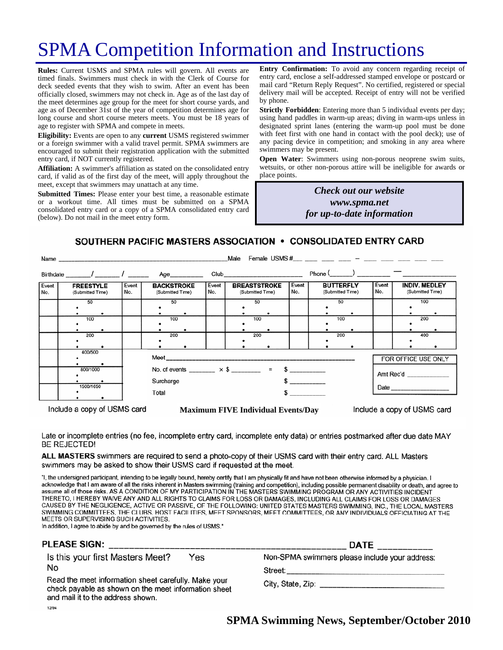# SPMA Competition Information and Instructions

**Rules:** Current USMS and SPMA rules will govern. All events are timed finals. Swimmers must check in with the Clerk of Course for deck seeded events that they wish to swim. After an event has been officially closed, swimmers may not check in. Age as of the last day of the meet determines age group for the meet for short course yards, and age as of December 31st of the year of competition determines age for long course and short course meters meets. You must be 18 years of age to register with SPMA and compete in meets.

**Eligibility:** Events are open to any **current** USMS registered swimmer or a foreign swimmer with a valid travel permit. SPMA swimmers are encouraged to submit their registration application with the submitted entry card, if NOT currently registered.

**Affiliation:** A swimmer's affiliation as stated on the consolidated entry card, if valid as of the first day of the meet, will apply throughout the meet, except that swimmers may unattach at any time.

**Submitted Times:** Please enter your best time, a reasonable estimate or a workout time. All times must be submitted on a SPMA consolidated entry card or a copy of a SPMA consolidated entry card (below). Do not mail in the meet entry form.

**Entry Confirmation:** To avoid any concern regarding receipt of entry card, enclose a self-addressed stamped envelope or postcard or mail card "Return Reply Request". No certified, registered or special delivery mail will be accepted. Receipt of entry will not be verified by phone.

**Strictly Forbidden**: Entering more than 5 individual events per day; using hand paddles in warm-up areas; diving in warm-ups unless in designated sprint lanes (entering the warm-up pool must be done with feet first with one hand in contact with the pool deck); use of any pacing device in competition; and smoking in any area where swimmers may be present.

**Open Water**: Swimmers using non-porous neoprene swim suits, wetsuits, or other non-porous attire will be ineligible for awards or place points.

> *Check out our website www.spma.net for up-to-date information*

#### SOUTHERN PACIFIC MASTERS ASSOCIATION . CONSOLIDATED ENTRY CARD

|              | Male<br>Name and the contract of the contract of the contract of the contract of the contract of the contract of the contract of the contract of the contract of the contract of the contract of the contract of the contract of the c |                     |                                                                                     |              |                                                                                                                                                                                                                                |              |                                      |                                                          |
|--------------|----------------------------------------------------------------------------------------------------------------------------------------------------------------------------------------------------------------------------------------|---------------------|-------------------------------------------------------------------------------------|--------------|--------------------------------------------------------------------------------------------------------------------------------------------------------------------------------------------------------------------------------|--------------|--------------------------------------|----------------------------------------------------------|
|              | Birthdate _______/ _______/ ________                                                                                                                                                                                                   |                     | Age__________                                                                       |              | Club and the contract of the contract of the contract of the contract of the contract of the contract of the contract of the contract of the contract of the contract of the contract of the contract of the contract of the c |              | $Phone($ $)$                         |                                                          |
| Event<br>No. | <b>FREESTYLE</b><br>(Submitted Time)                                                                                                                                                                                                   | Event<br>No.        | <b>BACKSTROKE</b><br>(Submitted Time)                                               | Event<br>No. | <b>BREASTSTROKE</b><br>(Submitted Time)                                                                                                                                                                                        | Event<br>No. | <b>BUTTERFLY</b><br>(Submitted Time) | Event<br><b>INDIV. MEDLEY</b><br>No.<br>(Submitted Time) |
|              | 50                                                                                                                                                                                                                                     |                     | 50                                                                                  |              | 50                                                                                                                                                                                                                             |              | 50                                   | 100                                                      |
|              | 100                                                                                                                                                                                                                                    |                     | 100                                                                                 |              | 100                                                                                                                                                                                                                            |              | 100                                  | 200                                                      |
|              | 200                                                                                                                                                                                                                                    |                     | 200                                                                                 |              | 200                                                                                                                                                                                                                            |              | 200                                  | 400                                                      |
|              | 400/500                                                                                                                                                                                                                                | FOR OFFICE USE ONLY |                                                                                     |              |                                                                                                                                                                                                                                |              |                                      |                                                          |
|              | 800/1000                                                                                                                                                                                                                               |                     | No. of events ________ $\times$ \$ _______ = \$ _________<br>Amt Rec'd<br>Surcharge |              |                                                                                                                                                                                                                                |              |                                      |                                                          |
|              | 1500/1650                                                                                                                                                                                                                              | Total               |                                                                                     |              |                                                                                                                                                                                                                                |              |                                      |                                                          |

Include a copy of USMS card

**Maximum FIVE Individual Events/Day** 

Include a copy of USMS card

Late or incomplete entries (no fee, incomplete entry card, incomplete enty data) or entries postmarked after due date MAY **BE REJECTED!** 

ALL MASTERS swimmers are required to send a photo-copy of their USMS card with their entry card. ALL Masters swimmers may be asked to show their USMS card if requested at the meet.

"I, the undersigned participant, intending to be legally bound, hereby certify that I am physically fit and have not been otherwise informed by a physician. I acknowledge that I am aware of all the risks inherent in Masters swimming (training and competition), including possible permanent disability or death, and agree to assume all of those risks. AS A CONDITION OF MY PARTICIPATION IN THE MASTERS SWIMMING PROGRAM OR ANY ACTIVITIES INCIDENT THERETO, I HEREBY WAIVE ANY AND ALL RIGHTS TO CLAIMS FOR LOSS OR DAMAGES, INCLUDING ALL CLAIMS FOR LOSS OR DAMAGES CAUSED BY THE NEGLIGENCE, ACTIVE OR PASSIVE, OF THE FOLLOWING: UNITED STATES MASTERS SWIMMING, INC., THE LOCAL MASTERS SWIMMING COMMITTEES, THE CLUBS, HOST FACILITIES, MEET SPONSORS, MEET COMMITTEES, OR ANY INDIVIDUALS OFFICIATING AT THE MEETS OR SUPERVISING SUCH ACTIVITIES.

In addition, I agree to abide by and be governed by the rules of USMS."

| <b>PLEASE SIGN:</b>                                                                                                                                                                                         | <b>DATE</b>                                                                                                                                                                                                                                                                                                                       |
|-------------------------------------------------------------------------------------------------------------------------------------------------------------------------------------------------------------|-----------------------------------------------------------------------------------------------------------------------------------------------------------------------------------------------------------------------------------------------------------------------------------------------------------------------------------|
| Is this your first Masters Meet?<br>Yes<br>No<br>Read the meet information sheet carefully. Make your<br>check payable as shown on the meet information sheet<br>and mail it to the address shown.<br>12/94 | Non-SPMA swimmers please include your address:<br>Street: with the street of the street of the street of the street of the street of the street of the street of the street of the street of the street of the street of the street of the street of the street of the street of<br>City, State, Zip: ___________________________ |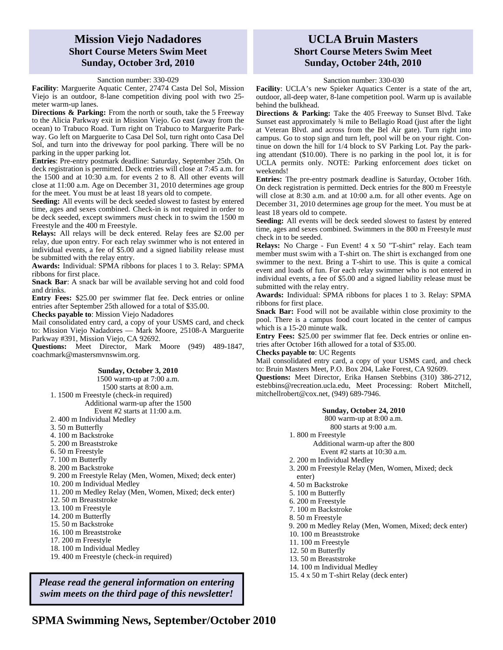### **Mission Viejo Nadadores Short Course Meters Swim Meet Sunday, October 3rd, 2010**

#### Sanction number: 330-029

**Facility**: Marguerite Aquatic Center, 27474 Casta Del Sol, Mission Viejo is an outdoor, 8-lane competition diving pool with two 25 meter warm-up lanes.

**Directions & Parking:** From the north or south, take the 5 Freeway to the Alicia Parkway exit in Mission Viejo. Go east (away from the ocean) to Trabuco Road. Turn right on Trabuco to Marguerite Parkway. Go left on Marguerite to Casa Del Sol, turn right onto Casa Del Sol, and turn into the driveway for pool parking. There will be no parking in the upper parking lot.

**Entries**: Pre-entry postmark deadline: Saturday, September 25th. On deck registration is permitted. Deck entries will close at 7:45 a.m. for the 1500 and at 10:30 a.m. for events 2 to 8. All other events will close at 11:00 a.m. Age on December 31, 2010 determines age group for the meet. You must be at least 18 years old to compete.

**Seeding:** All events will be deck seeded slowest to fastest by entered time, ages and sexes combined. Check-in is not required in order to be deck seeded, except swimmers *must* check in to swim the 1500 m Freestyle and the 400 m Freestyle.

**Relays:** All relays will be deck entered. Relay fees are \$2.00 per relay, due upon entry. For each relay swimmer who is not entered in individual events, a fee of \$5.00 and a signed liability release must be submitted with the relay entry.

**Awards:** Individual: SPMA ribbons for places 1 to 3. Relay: SPMA ribbons for first place.

**Snack Bar:** A snack bar will be available serving hot and cold food and drinks.

**Entry Fees:** \$25.00 per swimmer flat fee. Deck entries or online entries after September 25th allowed for a total of \$35.00.

**Checks payable to**: Mission Viejo Nadadores

Mail consolidated entry card, a copy of your USMS card, and check to: Mission Viejo Nadadores — Mark Moore, 25108-A Marguerite Parkway #391, Mission Viejo, CA 92692.

**Questions:** Meet Director, Mark Moore (949) 489-1847, coachmark@mastersmvnswim.org.

#### **Sunday, October 3, 2010**

1500 warm-up at 7:00 a.m. 1500 starts at 8:00 a.m. 1. 1500 m Freestyle (check-in required) Additional warm-up after the 1500 Event #2 starts at 11:00 a.m. 2. 400 m Individual Medley 3. 50 m Butterfly 4. 100 m Backstroke 5. 200 m Breaststroke 6. 50 m Freestyle 7. 100 m Butterfly 8. 200 m Backstroke 9. 200 m Freestyle Relay (Men, Women, Mixed; deck enter) 10. 200 m Individual Medley 11. 200 m Medley Relay (Men, Women, Mixed; deck enter) 12. 50 m Breaststroke 13. 100 m Freestyle 14. 200 m Butterfly 15. 50 m Backstroke 16. 100 m Breaststroke 17. 200 m Freestyle 18. 100 m Individual Medley 19. 400 m Freestyle (check-in required)

*Please read the general information on entering swim meets on the third page of this newsletter!* 

### **UCLA Bruin Masters Short Course Meters Swim Meet Sunday, October 24th, 2010**

#### Sanction number: 330-030

**Facility**: UCLA's new Spieker Aquatics Center is a state of the art, outdoor, all-deep water, 8-lane competition pool. Warm up is available behind the bulkhead.

**Directions & Parking:** Take the 405 Freeway to Sunset Blvd. Take Sunset east approximately ¾ mile to Bellagio Road (just after the light at Veteran Blvd. and across from the Bel Air gate). Turn right into campus. Go to stop sign and turn left, pool will be on your right. Continue on down the hill for 1/4 block to SV Parking Lot. Pay the parking attendant (\$10.00). There is no parking in the pool lot, it is for UCLA permits only. NOTE: Parking enforcement *does* ticket on weekends!

**Entries:** The pre-entry postmark deadline is Saturday, October 16th. On deck registration is permitted. Deck entries for the 800 m Freestyle will close at 8:30 a.m. and at 10:00 a.m. for all other events. Age on December 31, 2010 determines age group for the meet. You must be at least 18 years old to compete.

**Seeding:** All events will be deck seeded slowest to fastest by entered time, ages and sexes combined. Swimmers in the 800 m Freestyle *must*  check in to be seeded.

**Relays:** No Charge - Fun Event! 4 x 50 "T-shirt" relay. Each team member must swim with a T-shirt on. The shirt is exchanged from one swimmer to the next. Bring a T-shirt to use. This is quite a comical event and loads of fun. For each relay swimmer who is not entered in individual events, a fee of \$5.00 and a signed liability release must be submitted with the relay entry.

**Awards:** Individual: SPMA ribbons for places 1 to 3. Relay: SPMA ribbons for first place.

**Snack Bar:** Food will not be available within close proximity to the pool. There is a campus food court located in the center of campus which is a 15-20 minute walk.

**Entry Fees:** \$25.00 per swimmer flat fee. Deck entries or online entries after October 16th allowed for a total of \$35.00.

**Checks payable to**: UC Regents

Mail consolidated entry card, a copy of your USMS card, and check to: Bruin Masters Meet, P.O. Box 204, Lake Forest, CA 92609.

**Questions:** Meet Director, Erika Hansen Stebbins (310) 386-2712, estebbins@recreation.ucla.edu, Meet Processing: Robert Mitchell, mitchellrobert@cox.net, (949) 689-7946.

#### **Sunday, October 24, 2010**

800 warm-up at 8:00 a.m.

800 starts at 9:00 a.m.

- 1. 800 m Freestyle
	- Additional warm-up after the 800 Event #2 starts at 10:30 a.m.
- 2. 200 m Individual Medley
- 3. 200 m Freestyle Relay (Men, Women, Mixed; deck enter)
- 4. 50 m Backstroke
- 5. 100 m Butterfly
- 6. 200 m Freestyle
- 7. 100 m Backstroke
- 8. 50 m Freestyle
- 9. 200 m Medley Relay (Men, Women, Mixed; deck enter)
- 10. 100 m Breaststroke
- 11. 100 m Freestyle
- 12. 50 m Butterfly
- 13. 50 m Breaststroke
- 14. 100 m Individual Medley
- 15. 4 x 50 m T-shirt Relay (deck enter)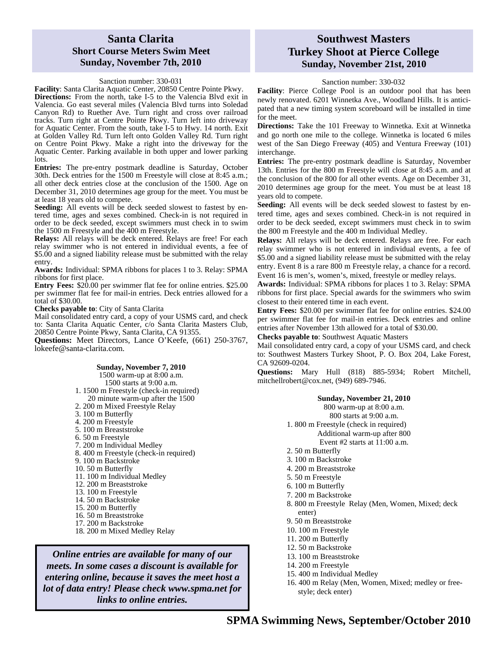#### **Santa Clarita Short Course Meters Swim Meet Sunday, November 7th, 2010**

#### Sanction number: 330-031

**Facility**: Santa Clarita Aquatic Center, 20850 Centre Pointe Pkwy. **Directions:** From the north, take I-5 to the Valencia Blvd exit in Valencia. Go east several miles (Valencia Blvd turns into Soledad Canyon Rd) to Ruether Ave. Turn right and cross over railroad tracks. Turn right at Centre Pointe Pkwy. Turn left into driveway for Aquatic Center. From the south, take I-5 to Hwy. 14 north. Exit at Golden Valley Rd. Turn left onto Golden Valley Rd. Turn right on Centre Point Pkwy. Make a right into the driveway for the Aquatic Center. Parking available in both upper and lower parking

lots. **Entries:** The pre-entry postmark deadline is Saturday, October 30th. Deck entries for the 1500 m Freestyle will close at 8:45 a.m.; all other deck entries close at the conclusion of the 1500. Age on December 31, 2010 determines age group for the meet. You must be at least 18 years old to compete.

Seeding: All events will be deck seeded slowest to fastest by entered time, ages and sexes combined. Check-in is not required in order to be deck seeded, except swimmers must check in to swim the 1500 m Freestyle and the 400 m Freestyle.

**Relays:** All relays will be deck entered. Relays are free! For each relay swimmer who is not entered in individual events, a fee of \$5.00 and a signed liability release must be submitted with the relay entry.

**Awards:** Individual: SPMA ribbons for places 1 to 3. Relay: SPMA ribbons for first place.

**Entry Fees:** \$20.00 per swimmer flat fee for online entries. \$25.00 per swimmer flat fee for mail-in entries. Deck entries allowed for a total of \$30.00.

**Checks payable to**: City of Santa Clarita

Mail consolidated entry card, a copy of your USMS card, and check to: Santa Clarita Aquatic Center, c/o Santa Clarita Masters Club, 20850 Centre Pointe Pkwy, Santa Clarita, CA 91355.

**Questions:** Meet Directors, Lance O'Keefe, (661) 250-3767, lokeefe@santa-clarita.com.

#### **Sunday, November 7, 2010**

1500 warm-up at 8:00 a.m. 1500 starts at 9:00 a.m. 1. 1500 m Freestyle (check-in required) 20 minute warm-up after the 1500 2. 200 m Mixed Freestyle Relay 3. 100 m Butterfly 4. 200 m Freestyle 5. 100 m Breaststroke 6. 50 m Freestyle 7. 200 m Individual Medley 8. 400 m Freestyle (check-in required) 9. 100 m Backstroke 10. 50 m Butterfly 11. 100 m Individual Medley 12. 200 m Breaststroke 13. 100 m Freestyle 14. 50 m Backstroke 15. 200 m Butterfly 16. 50 m Breaststroke 17. 200 m Backstroke 18. 200 m Mixed Medley Relay

*Online entries are available for many of our meets. In some cases a discount is available for entering online, because it saves the meet host a lot of data entry! Please check www.spma.net for links to online entries.* 

## **Southwest Masters Turkey Shoot at Pierce College Sunday, November 21st, 2010**

Sanction number: 330-032

**Facility**: Pierce College Pool is an outdoor pool that has been newly renovated. 6201 Winnetka Ave., Woodland Hills. It is anticipated that a new timing system scoreboard will be installed in time for the meet.

**Directions:** Take the 101 Freeway to Winnetka. Exit at Winnetka and go north one mile to the college. Winnetka is located 6 miles west of the San Diego Freeway (405) and Ventura Freeway (101) interchange.

**Entries:** The pre-entry postmark deadline is Saturday, November 13th. Entries for the 800 m Freestyle will close at 8:45 a.m. and at the conclusion of the 800 for all other events. Age on December 31, 2010 determines age group for the meet. You must be at least 18 years old to compete.

**Seeding:** All events will be deck seeded slowest to fastest by entered time, ages and sexes combined. Check-in is not required in order to be deck seeded, except swimmers must check in to swim the 800 m Freestyle and the 400 m Individual Medley.

**Relays:** All relays will be deck entered. Relays are free. For each relay swimmer who is not entered in individual events, a fee of \$5.00 and a signed liability release must be submitted with the relay entry. Event 8 is a rare 800 m Freestyle relay, a chance for a record. Event 16 is men's, women's, mixed, freestyle or medley relays.

**Awards:** Individual: SPMA ribbons for places 1 to 3. Relay: SPMA ribbons for first place. Special awards for the swimmers who swim closest to their entered time in each event.

**Entry Fees:** \$20.00 per swimmer flat fee for online entries. \$24.00 per swimmer flat fee for mail-in entries. Deck entries and online entries after November 13th allowed for a total of \$30.00.

**Checks payable to**: Southwest Aquatic Masters

Mail consolidated entry card, a copy of your USMS card, and check to: Southwest Masters Turkey Shoot, P. O. Box 204, Lake Forest, CA 92609-0204.

**Questions:** Mary Hull (818) 885-5934; Robert Mitchell, mitchellrobert@cox.net, (949) 689-7946.

#### **Sunday, November 21, 2010**

800 warm-up at 8:00 a.m.

800 starts at 9:00 a.m.

- 1. 800 m Freestyle (check in required) Additional warm-up after 800 Event #2 starts at 11:00 a.m.
	-
- 2. 50 m Butterfly
- 3. 100 m Backstroke
- 4. 200 m Breaststroke
- 5. 50 m Freestyle
- 6. 100 m Butterfly
- 7. 200 m Backstroke
- 8. 800 m Freestyle Relay (Men, Women, Mixed; deck enter)
- 9. 50 m Breaststroke
- 10. 100 m Freestyle
- 11. 200 m Butterfly
- 12. 50 m Backstroke
- 13. 100 m Breaststroke
- 14. 200 m Freestyle
- 15. 400 m Individual Medley
- 16. 400 m Relay (Men, Women, Mixed; medley or freestyle; deck enter)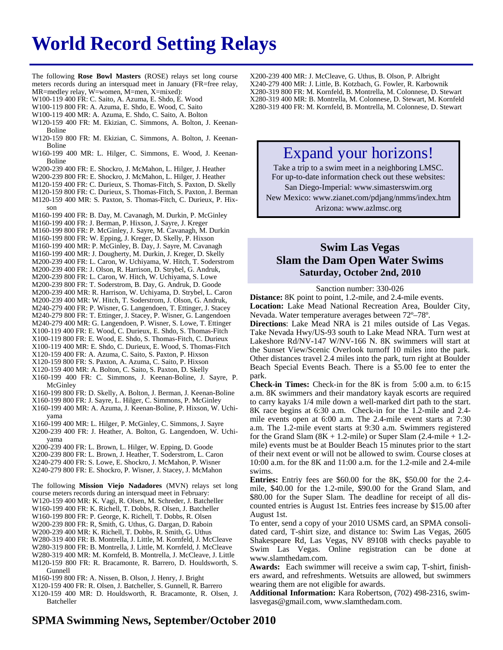# **World Record Setting Relays**

The following **Rose Bowl Masters** (ROSE) relays set long course meters records during an intersquad meet in January (FR=free relay, MR=medley relay, W=women, M=men, X=mixed):

- 
- W100-119 400 FR: C. Saito, A. Azuma, E. Shdo, E. Wood
- W100-119 800 FR: A. Azuma, E. Shdo, E. Wood, C. Saito W100-119 400 MR: A. Azuma, E. Shdo, C. Saito, A. Bolton
- 
- W120-159 400 FR: M. Ekizian, C. Simmons, A. Bolton, J. Keenan-Boline
- W120-159 800 FR: M. Ekizian, C. Simmons, A. Bolton, J. Keenan-Boline
- W160-199 400 MR: L. Hilger, C. Simmons, E. Wood, J. Keenan-Boline
- W200-239 400 FR: E. Shockro, J. McMahon, L. Hilger, J. Heather
- W200-239 800 FR: E. Shockro, J. McMahon, L. Hilger, J. Heather
- M120-159 400 FR: C. Durieux, S. Thomas-Fitch, S. Paxton, D. Skelly
- M120-159 800 FR: C. Durieux, S. Thomas-Fitch, S. Paxton, J. Berman
- M120-159 400 MR: S. Paxton, S. Thomas-Fitch, C. Durieux, P. Hixson
- M160-199 400 FR: B. Day, M. Cavanagh, M. Durkin, P. McGinley
- M160-199 400 FR: J. Berman, P. Hixson, J. Sayre, J. Kreger
- M160-199 800 FR: P. McGinley, J. Sayre, M. Cavanagh, M. Durkin
- M160-199 800 FR: W. Epping, J. Kreger, D. Skelly, P. Hixson
- M160-199 400 MR: P. McGinley, B. Day, J. Sayre, M. Cavanagh
- M160-199 400 MR: J. Dougherty, M. Durkin, J. Kreger, D. Skelly
- M200-239 400 FR: L. Caron, W. Uchiyama, W. Hitch, T. Soderstrom
- M200-239 400 FR: J. Olson, R. Harrison, D. Strybel, G. Andruk,
- M200-239 800 FR: L. Caron, W. Hitch, W. Uchiyama, S. Lowe
- M200-239 800 FR: T. Soderstrom, B. Day, G. Andruk, D. Goode M200-239 400 MR: R. Harrison, W. Uchiyama, D. Strybel, L. Caron
- M200-239 400 MR: W. Hitch, T. Soderstrom, J. Olson, G. Andruk,
- M240-279 400 FR: P. Wisner, G. Langendoen, T. Ettinger, J. Stacey
- M240-279 800 FR: T. Ettinger, J. Stacey, P. Wisner, G. Langendoen
- M240-279 400 MR: G. Langendoen, P. Wisner, S. Lowe, T. Ettinger
- X100-119 400 FR: E. Wood, C. Durieux, E. Shdo, S. Thomas-Fitch
- X100-119 800 FR: E. Wood, E. Shdo, S. Thomas-Fitch, C. Durieux X100-119 400 MR: E. Shdo, C. Durieux, E. Wood, S. Thomas-Fitch
- X120-159 400 FR: A. Azuma, C. Saito, S. Paxton, P. Hixson
- X120-159 800 FR: S. Paxton, A. Azuma, C. Saito, P. Hixson
- X120-159 400 MR: A. Bolton, C. Saito, S. Paxton, D. Skelly
- X160-199 400 FR: C. Simmons, J. Keenan-Boline, J. Sayre, P. McGinley
- X160-199 800 FR: D. Skelly, A. Bolton, J. Berman, J. Keenan-Boline
- X160-199 800 FR: J. Sayre, L. Hilger, C. Simmons, P. McGinley
- X160-199 400 MR: A. Azuma, J. Keenan-Boline, P. Hixson, W. Uchiyama
- X160-199 400 MR: L. Hilger, P. McGinley, C. Simmons, J. Sayre
- X200-239 400 FR: J. Heather, A. Bolton, G. Langendoen, W. Uchiyama
- X200-239 400 FR: L. Brown, L. Hilger, W. Epping, D. Goode
- X200-239 800 FR: L. Brown, J. Heather, T. Soderstrom, L. Caron
- X240-279 400 FR: S. Lowe, E. Shockro, J. McMahon, P. Wisner
- X240-279 800 FR: E. Shockro, P. Wisner, J. Stacey, J. McMahon

The following **Mission Viejo Nadadores** (MVN) relays set long

course meters records during an intersquad meet in February:

- W120-159 400 MR: K. Vagi, R. Olsen, M. Schreder, J. Batcheller W160-199 400 FR: K. Richell, T. Dobbs, R. Olsen, J. Batcheller
- W160-199 800 FR: P. George, K. Richell, T. Dobbs, R. Olsen
- W200-239 800 FR: R, Smith, G. Uthus, G. Dargan, D. Raboin
- W200-239 400 MR: K. Richell, T. Dobbs, R. Smith, G. Uthus
- W280-319 400 FR: B. Montrella, J. Little, M. Kornfeld, J. McCleave
- W280-319 800 FR: B. Montrella, J. Little, M. Kornfeld, J. McCleave
- W280-319 400 MR: M. Kornfeld, B. Montrella, J. McCleave, J. Little
- M120-159 800 FR: R. Bracamonte, R. Barrero, D. Houldsworth, S. Gunnell
- M160-199 800 FR: A. Nissen, B. Olson, J. Henry, J. Bright
- X120-159 400 FR: R. Olsen, J. Batcheller, S. Gunnell, R. Barrero
- X120-159 400 MR: D. Houldsworth, R. Bracamonte, R. Olsen, J. Batcheller

X200-239 400 MR: J. McCleave, G. Uthus, B. Olson, P. Albright X240-279 400 MR: J. Little, B. Kotzbach, G. Fowler, R. Karbownik X280-319 800 FR: M. Kornfeld, B. Montrella, M. Colonnese, D. Stewart X280-319 400 MR: B. Montrella, M. Colonnese, D. Stewart, M. Kornfeld X280-319 400 FR: M. Kornfeld, B. Montrella, M. Colonnese, D. Stewart

## Expand your horizons!

Take a trip to a swim meet in a neighboring LMSC. For up-to-date information check out these websites: San Diego-Imperial: www.simasterswim.org New Mexico: www.zianet.com/pdjang/nmms/index.htm Arizona: www.azlmsc.org

## **Swim Las Vegas Slam the Dam Open Water Swims Saturday, October 2nd, 2010**

Sanction number: 330-026

**Distance:** 8K point to point, 1.2-mile, and 2.4-mile events. **Location:** Lake Mead National Recreation Area, Boulder City, Nevada. Water temperature averages between 72º–78º.

**Directions**: Lake Mead NRA is 21 miles outside of Las Vegas. Take Nevada Hwy/US-93 south to Lake Mead NRA. Turn west at Lakeshore Rd/NV-147 W/NV-166 N. 8K swimmers will start at the Sunset View/Scenic Overlook turnoff 10 miles into the park. Other distances travel 2.4 miles into the park, turn right at Boulder Beach Special Events Beach. There is a \$5.00 fee to enter the park.

**Check-in Times:** Check-in for the 8K is from 5:00 a.m. to 6:15 a.m. 8K swimmers and their mandatory kayak escorts are required to carry kayaks 1/4 mile down a well-marked dirt path to the start. 8K race begins at 6:30 a.m. Check-in for the 1.2-mile and 2.4 mile events open at 6:00 a.m. The 2.4-mile event starts at 7:30 a.m. The 1.2-mile event starts at 9:30 a.m. Swimmers registered for the Grand Slam  $(8K + 1.2$ -mile) or Super Slam  $(2.4$ -mile  $+ 1.2$ mile) events must be at Boulder Beach 15 minutes prior to the start of their next event or will not be allowed to swim. Course closes at 10:00 a.m. for the 8K and 11:00 a.m. for the 1.2-mile and 2.4-mile swims.

**Entries:** Entriy fees are \$60.00 for the 8K, \$50.00 for the 2.4 mile, \$40.00 for the 1.2-mile, \$90.00 for the Grand Slam, and \$80.00 for the Super Slam. The deadline for receipt of all discounted entries is August 1st. Entries fees increase by \$15.00 after August 1st.

To enter, send a copy of your 2010 USMS card, an SPMA consolidated card, T-shirt size, and distance to: Swim Las Vegas, 2605 Shakespeare Rd, Las Vegas, NV 89108 with checks payable to Swim Las Vegas. Online registration can be done at www.slamthedam.com.

**Awards:** Each swimmer will receive a swim cap, T-shirt, finishers award, and refreshments. Wetsuits are allowed, but swimmers wearing them are not eligible for awards.

**Additional Information:** Kara Robertson, (702) 498-2316, swimlasvegas@gmail.com, www.slamthedam.com.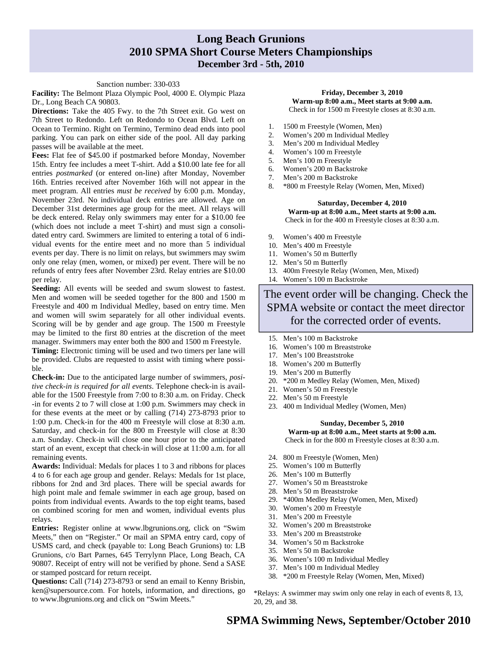## **Long Beach Grunions 2010 SPMA Short Course Meters Championships December 3rd - 5th, 2010**

#### Sanction number: 330-033

**Facility:** The Belmont Plaza Olympic Pool, 4000 E. Olympic Plaza Dr., Long Beach CA 90803.

**Directions:** Take the 405 Fwy. to the 7th Street exit. Go west on 7th Street to Redondo. Left on Redondo to Ocean Blvd. Left on Ocean to Termino. Right on Termino, Termino dead ends into pool parking. You can park on either side of the pool. All day parking passes will be available at the meet.

**Fees:** Flat fee of \$45.00 if postmarked before Monday, November 15th. Entry fee includes a meet T-shirt. Add a \$10.00 late fee for all entries *postmarked* (or entered on-line) after Monday, November 16th. Entries received after November 16th will not appear in the meet program. All entries *must be received* by 6:00 p.m. Monday, November 23rd. No individual deck entries are allowed. Age on December 31st determines age group for the meet. All relays will be deck entered. Relay only swimmers may enter for a \$10.00 fee (which does not include a meet T-shirt) and must sign a consolidated entry card. Swimmers are limited to entering a total of 6 individual events for the entire meet and no more than 5 individual events per day. There is no limit on relays, but swimmers may swim only one relay (men, women, or mixed) per event. There will be no refunds of entry fees after November 23rd. Relay entries are \$10.00 per relay.

**Seeding:** All events will be seeded and swum slowest to fastest. Men and women will be seeded together for the 800 and 1500 m Freestyle and 400 m Individual Medley, based on entry time. Men and women will swim separately for all other individual events. Scoring will be by gender and age group. The 1500 m Freestyle may be limited to the first 80 entries at the discretion of the meet manager. Swimmers may enter both the 800 and 1500 m Freestyle.

**Timing:** Electronic timing will be used and two timers per lane will be provided. Clubs are requested to assist with timing where possible.

**Check-in:** Due to the anticipated large number of swimmers, *positive check-in is required for all events*. Telephone check-in is available for the 1500 Freestyle from 7:00 to 8:30 a.m. on Friday. Check -in for events 2 to 7 will close at 1:00 p.m. Swimmers may check in for these events at the meet or by calling (714) 273-8793 prior to 1:00 p.m. Check-in for the 400 m Freestyle will close at 8:30 a.m. Saturday, and check-in for the 800 m Freestyle will close at 8:30 a.m. Sunday. Check-in will close one hour prior to the anticipated start of an event, except that check-in will close at 11:00 a.m. for all remaining events.

**Awards:** Individual: Medals for places 1 to 3 and ribbons for places 4 to 6 for each age group and gender. Relays: Medals for 1st place, ribbons for 2nd and 3rd places. There will be special awards for high point male and female swimmer in each age group, based on points from individual events. Awards to the top eight teams, based on combined scoring for men and women, individual events plus relays.

**Entries:** Register online at www.lbgrunions.org, click on "Swim Meets," then on "Register." Or mail an SPMA entry card, copy of USMS card, and check (payable to: Long Beach Grunions) to: LB Grunions, c/o Bart Parnes, 645 Terrylynn Place, Long Beach, CA 90807. Receipt of entry will not be verified by phone. Send a SASE or stamped postcard for return receipt.

**Questions:** Call (714) 273-8793 or send an email to Kenny Brisbin, ken@supersource.com. For hotels, information, and directions, go to www.lbgrunions.org and click on "Swim Meets."

#### **Friday, December 3, 2010 Warm-up 8:00 a.m., Meet starts at 9:00 a.m.**  Check in for 1500 m Freestyle closes at 8:30 a.m.

- 1. 1500 m Freestyle (Women, Men)
- 2. Women's 200 m Individual Medley
- 3. Men's 200 m Individual Medley
- 4. Women's 100 m Freestyle
- 5. Men's 100 m Freestyle
- 6. Women's 200 m Backstroke
- 7. Men's 200 m Backstroke
- 8. \*800 m Freestyle Relay (Women, Men, Mixed)

#### **Saturday, December 4, 2010 Warm-up at 8:00 a.m., Meet starts at 9:00 a.m.**  Check in for the 400 m Freestyle closes at 8:30 a.m.

- 9. Women's 400 m Freestyle
- 10. Men's 400 m Freestyle
- 11. Women's 50 m Butterfly
- 12. Men's 50 m Butterfly
- 13. 400m Freestyle Relay (Women, Men, Mixed)
- 14. Women's 100 m Backstroke

The event order will be changing. Check the SPMA website or contact the meet director for the corrected order of events.

- 15. Men's 100 m Backstroke
- 16. Women's 100 m Breaststroke
- 17. Men's 100 Breaststroke
- 18. Women's 200 m Butterfly
- 19. Men's 200 m Butterfly
- 20. \*200 m Medley Relay (Women, Men, Mixed)
- 21. Women's 50 m Freestyle
- 22. Men's 50 m Freestyle
- 23. 400 m Individual Medley (Women, Men)

#### **Sunday, December 5, 2010**

**Warm-up at 8:00 a.m., Meet starts at 9:00 a.m.**  Check in for the 800 m Freestyle closes at 8:30 a.m.

- 24. 800 m Freestyle (Women, Men)
- 25. Women's 100 m Butterfly
- 26. Men's 100 m Butterfly
- 27. Women's 50 m Breaststroke
- 28. Men's 50 m Breaststroke
- 29. \*400m Medley Relay (Women, Men, Mixed)
- 30. Women's 200 m Freestyle
- 31. Men's 200 m Freestyle
- 32. Women's 200 m Breaststroke
- 33. Men's 200 m Breaststroke
- 34. Women's 50 m Backstroke
- 35. Men's 50 m Backstroke
- 36. Women's 100 m Individual Medley
- 37. Men's 100 m Individual Medley
- 38. \*200 m Freestyle Relay (Women, Men, Mixed)

\*Relays: A swimmer may swim only one relay in each of events 8, 13, 20, 29, and 38.